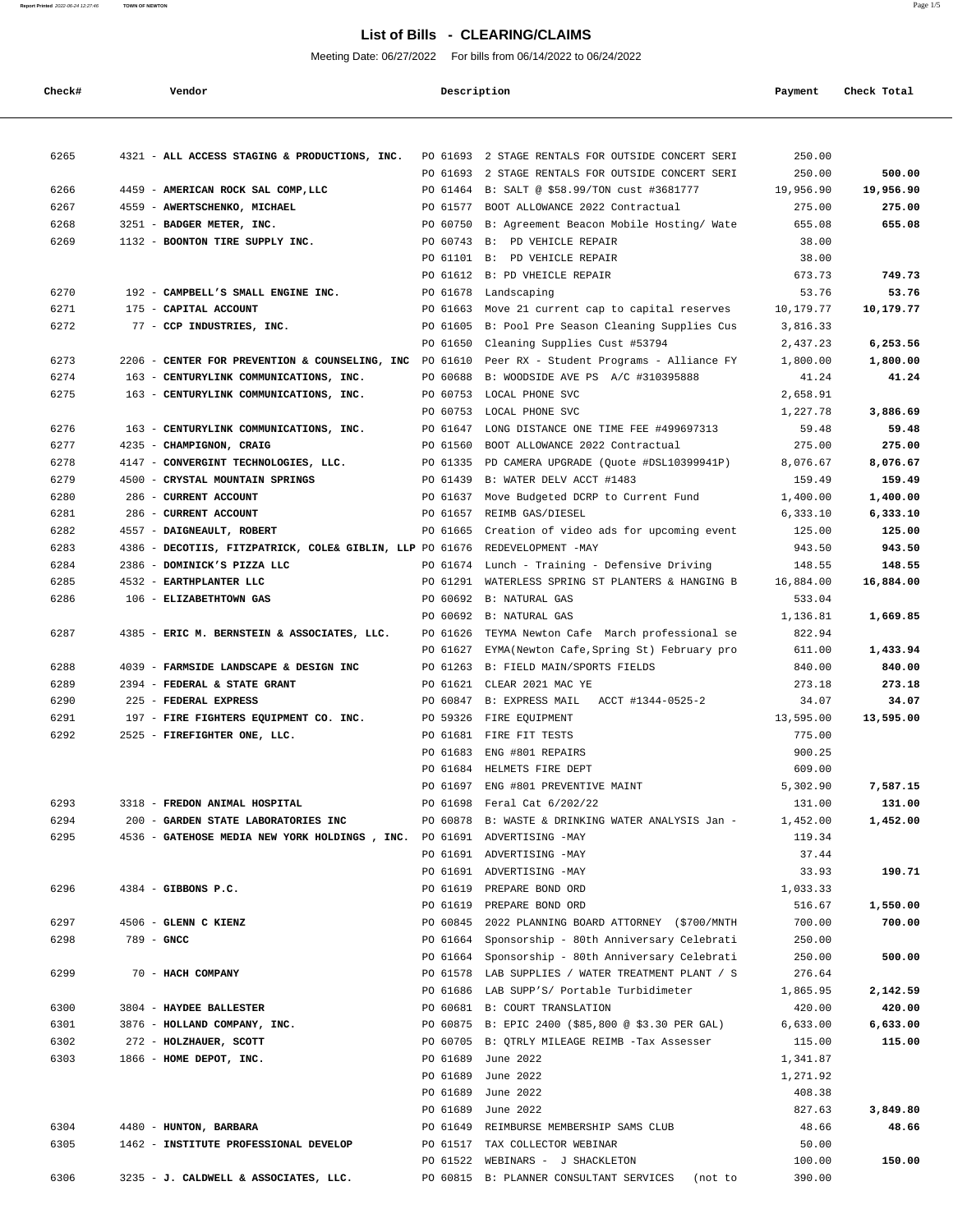#### **Report Printed** 2022-06-24 12:27:46 **TOWN OF NEWTON** Page 1/5

# **List of Bills - CLEARING/CLAIMS**

Meeting Date: 06/27/2022 For bills from 06/14/2022 to 06/24/2022

| Check# | Vendor                             |                                                                         |          | Description |                                                                | Payment         | Check Total |
|--------|------------------------------------|-------------------------------------------------------------------------|----------|-------------|----------------------------------------------------------------|-----------------|-------------|
|        |                                    |                                                                         |          |             |                                                                |                 |             |
| 6265   |                                    | 4321 - ALL ACCESS STAGING & PRODUCTIONS, INC.                           |          |             | PO 61693 2 STAGE RENTALS FOR OUTSIDE CONCERT SERI              | 250.00          |             |
|        |                                    |                                                                         | PO 61693 |             | 2 STAGE RENTALS FOR OUTSIDE CONCERT SERI                       | 250.00          | 500.00      |
| 6266   | 4459 - AMERICAN ROCK SAL COMP, LLC |                                                                         |          |             | PO 61464 B: SALT @ \$58.99/TON cust #3681777                   | 19,956.90       | 19,956.90   |
| 6267   | 4559 - AWERTSCHENKO, MICHAEL       |                                                                         | PO 61577 |             | BOOT ALLOWANCE 2022 Contractual                                | 275.00          | 275.00      |
| 6268   | 3251 - BADGER METER, INC.          |                                                                         | PO 60750 |             | B: Agreement Beacon Mobile Hosting/ Wate                       | 655.08          | 655.08      |
| 6269   | 1132 - BOONTON TIRE SUPPLY INC.    |                                                                         |          |             | PO 60743 B: PD VEHICLE REPAIR                                  | 38.00           |             |
|        |                                    |                                                                         |          |             | PO 61101 B: PD VEHICLE REPAIR<br>PO 61612 B: PD VHEICLE REPAIR | 38.00<br>673.73 | 749.73      |
| 6270   |                                    | 192 - CAMPBELL'S SMALL ENGINE INC.                                      | PO 61678 |             | Landscaping                                                    | 53.76           | 53.76       |
| 6271   | 175 - CAPITAL ACCOUNT              |                                                                         | PO 61663 |             | Move 21 current cap to capital reserves                        | 10,179.77       | 10,179.77   |
| 6272   | 77 - CCP INDUSTRIES, INC.          |                                                                         | PO 61605 |             | B: Pool Pre Season Cleaning Supplies Cus                       | 3,816.33        |             |
|        |                                    |                                                                         | PO 61650 |             | Cleaning Supplies Cust #53794                                  | 2,437.23        | 6,253.56    |
| 6273   |                                    | 2206 - CENTER FOR PREVENTION & COUNSELING, INC PO 61610                 |          |             | Peer RX - Student Programs - Alliance FY                       | 1,800.00        | 1,800.00    |
| 6274   | $163 -$                            | CENTURYLINK COMMUNICATIONS, INC.                                        | PO 60688 |             | B: WOODSIDE AVE PS A/C #310395888                              | 41.24           | 41.24       |
| 6275   |                                    | 163 - CENTURYLINK COMMUNICATIONS, INC.                                  | PO 60753 |             | LOCAL PHONE SVC                                                | 2,658.91        |             |
|        |                                    |                                                                         | PO 60753 |             | LOCAL PHONE SVC                                                | 1,227.78        | 3,886.69    |
| 6276   |                                    | 163 - CENTURYLINK COMMUNICATIONS, INC.                                  | PO 61647 |             | LONG DISTANCE ONE TIME FEE #499697313                          | 59.48           | 59.48       |
| 6277   | 4235 - CHAMPIGNON, CRAIG           |                                                                         | PO 61560 |             | BOOT ALLOWANCE 2022 Contractual                                | 275.00          | 275.00      |
| 6278   |                                    | 4147 - CONVERGINT TECHNOLOGIES, LLC.                                    | PO 61335 |             | PD CAMERA UPGRADE (Ouote #DSL10399941P)                        | 8,076.67        | 8,076.67    |
| 6279   | 4500 - CRYSTAL MOUNTAIN SPRINGS    |                                                                         | PO 61439 |             | B: WATER DELV ACCT #1483                                       | 159.49          | 159.49      |
| 6280   | $286 -$<br>CURRENT ACCOUNT         |                                                                         | PO 61637 |             | Move Budgeted DCRP to Current Fund                             | 1,400.00        | 1,400.00    |
| 6281   | 286 - CURRENT ACCOUNT              |                                                                         | PO 61657 |             | REIMB GAS/DIESEL                                               | 6,333.10        | 6,333.10    |
| 6282   | 4557 - DAIGNEAULT, ROBERT          |                                                                         | PO 61665 |             | Creation of video ads for upcoming event                       | 125.00          | 125.00      |
| 6283   |                                    | 4386 - DECOTIIS, FITZPATRICK, COLE& GIBLIN, LLP PO 61676                |          |             | REDEVELOPMENT -MAY                                             | 943.50          | 943.50      |
| 6284   | 2386 - DOMINICK'S PIZZA LLC        |                                                                         |          |             | PO 61674 Lunch - Training - Defensive Driving                  | 148.55          | 148.55      |
| 6285   | 4532 - EARTHPLANTER LLC            |                                                                         | PO 61291 |             | WATERLESS SPRING ST PLANTERS & HANGING B                       | 16,884.00       | 16,884.00   |
| 6286   | 106 - ELIZABETHTOWN GAS            |                                                                         | PO 60692 |             | <b>B: NATURAL GAS</b>                                          | 533.04          |             |
|        |                                    |                                                                         |          |             | PO 60692 B: NATURAL GAS                                        | 1,136.81        | 1,669.85    |
| 6287   |                                    | 4385 - ERIC M. BERNSTEIN & ASSOCIATES, LLC.                             | PO 61626 |             | TEYMA Newton Cafe March professional se                        | 822.94          |             |
|        |                                    |                                                                         | PO 61627 |             | EYMA (Newton Cafe, Spring St) February pro                     | 611.00          | 1,433.94    |
| 6288   |                                    | 4039 - FARMSIDE LANDSCAPE & DESIGN INC                                  | PO 61263 |             | B: FIELD MAIN/SPORTS FIELDS                                    | 840.00          | 840.00      |
| 6289   | 2394 - FEDERAL & STATE GRANT       |                                                                         | PO 61621 |             | CLEAR 2021 MAC YE                                              | 273.18          | 273.18      |
| 6290   | 225 - FEDERAL EXPRESS              |                                                                         | PO 60847 |             | <b>B: EXPRESS MAIL</b><br>ACCT #1344-0525-2                    | 34.07           | 34.07       |
| 6291   |                                    | 197 - FIRE FIGHTERS EQUIPMENT CO. INC.                                  | PO 59326 |             | FIRE EQUIPMENT                                                 | 13,595.00       | 13,595.00   |
| 6292   | 2525 - FIREFIGHTER ONE, LLC.       |                                                                         |          |             | PO 61681 FIRE FIT TESTS                                        | 775.00          |             |
|        |                                    |                                                                         | PO 61683 |             | ENG #801 REPAIRS                                               | 900.25          |             |
|        |                                    |                                                                         |          | PO 61684    | HELMETS FIRE DEPT                                              | 609.00          |             |
|        |                                    |                                                                         |          |             | PO 61697 ENG #801 PREVENTIVE MAINT                             | 5,302.90        | 7,587.15    |
| 6293   | 3318 - FREDON ANIMAL HOSPITAL      |                                                                         |          |             | PO 61698 Feral Cat 6/202/22                                    | 131.00          | 131.00      |
| 6294   |                                    | 200 - GARDEN STATE LABORATORIES INC                                     |          |             | PO 60878 B: WASTE & DRINKING WATER ANALYSIS Jan -              | 1,452.00        | 1,452.00    |
| 6295   |                                    | 4536 - GATEHOSE MEDIA NEW YORK HOLDINGS, INC. PO 61691 ADVERTISING -MAY |          |             |                                                                | 119.34          |             |
|        |                                    |                                                                         |          |             | PO 61691 ADVERTISING -MAY                                      | 37.44           |             |
|        |                                    |                                                                         |          |             | PO 61691 ADVERTISING -MAY                                      | 33.93           | 190.71      |
| 6296   | 4384 - GIBBONS P.C.                |                                                                         |          |             | PO 61619 PREPARE BOND ORD                                      | 1,033.33        |             |
|        |                                    |                                                                         |          |             | PO 61619 PREPARE BOND ORD                                      | 516.67          | 1,550.00    |
| 6297   | 4506 - GLENN C KIENZ               |                                                                         |          |             | PO 60845 2022 PLANNING BOARD ATTORNEY (\$700/MNTH              | 700.00          | 700.00      |
| 6298   | $789 - GNCC$                       |                                                                         |          |             | PO 61664 Sponsorship - 80th Anniversary Celebrati              | 250.00          |             |
|        |                                    |                                                                         |          |             | PO 61664 Sponsorship - 80th Anniversary Celebrati              | 250.00          | 500.00      |
| 6299   | 70 - HACH COMPANY                  |                                                                         |          |             | PO 61578 LAB SUPPLIES / WATER TREATMENT PLANT / S              | 276.64          |             |
|        |                                    |                                                                         |          |             | PO 61686 LAB SUPP'S/ Portable Turbidimeter                     | 1,865.95        | 2,142.59    |
| 6300   | 3804 - HAYDEE BALLESTER            |                                                                         |          |             | PO 60681 B: COURT TRANSLATION                                  | 420.00          | 420.00      |
| 6301   | 3876 - HOLLAND COMPANY, INC.       |                                                                         |          |             | PO 60875 B: EPIC 2400 (\$85,800 @ \$3.30 PER GAL)              | 6,633.00        | 6,633.00    |
| 6302   | 272 - HOLZHAUER, SCOTT             |                                                                         |          |             | PO 60705 B: QTRLY MILEAGE REIMB -Tax Assesser                  | 115.00          | 115.00      |
| 6303   | 1866 - HOME DEPOT, INC.            |                                                                         |          |             | PO 61689 June 2022                                             | 1,341.87        |             |
|        |                                    |                                                                         |          |             | PO 61689 June 2022                                             | 1,271.92        |             |
|        |                                    |                                                                         |          |             | PO 61689 June 2022                                             | 408.38          |             |
|        |                                    |                                                                         | PO 61689 |             | June 2022                                                      | 827.63          | 3,849.80    |
| 6304   | 4480 - HUNTON, BARBARA             |                                                                         |          |             | PO 61649 REIMBURSE MEMBERSHIP SAMS CLUB                        | 48.66           | 48.66       |
| 6305   |                                    | 1462 - INSTITUTE PROFESSIONAL DEVELOP                                   |          |             | PO 61517 TAX COLLECTOR WEBINAR                                 | 50.00           |             |
|        |                                    |                                                                         |          |             | PO 61522 WEBINARS - J SHACKLETON                               | 100.00          | 150.00      |
| 6306   |                                    | 3235 - J. CALDWELL & ASSOCIATES, LLC.                                   |          |             | PO 60815 B: PLANNER CONSULTANT SERVICES (not to                | 390.00          |             |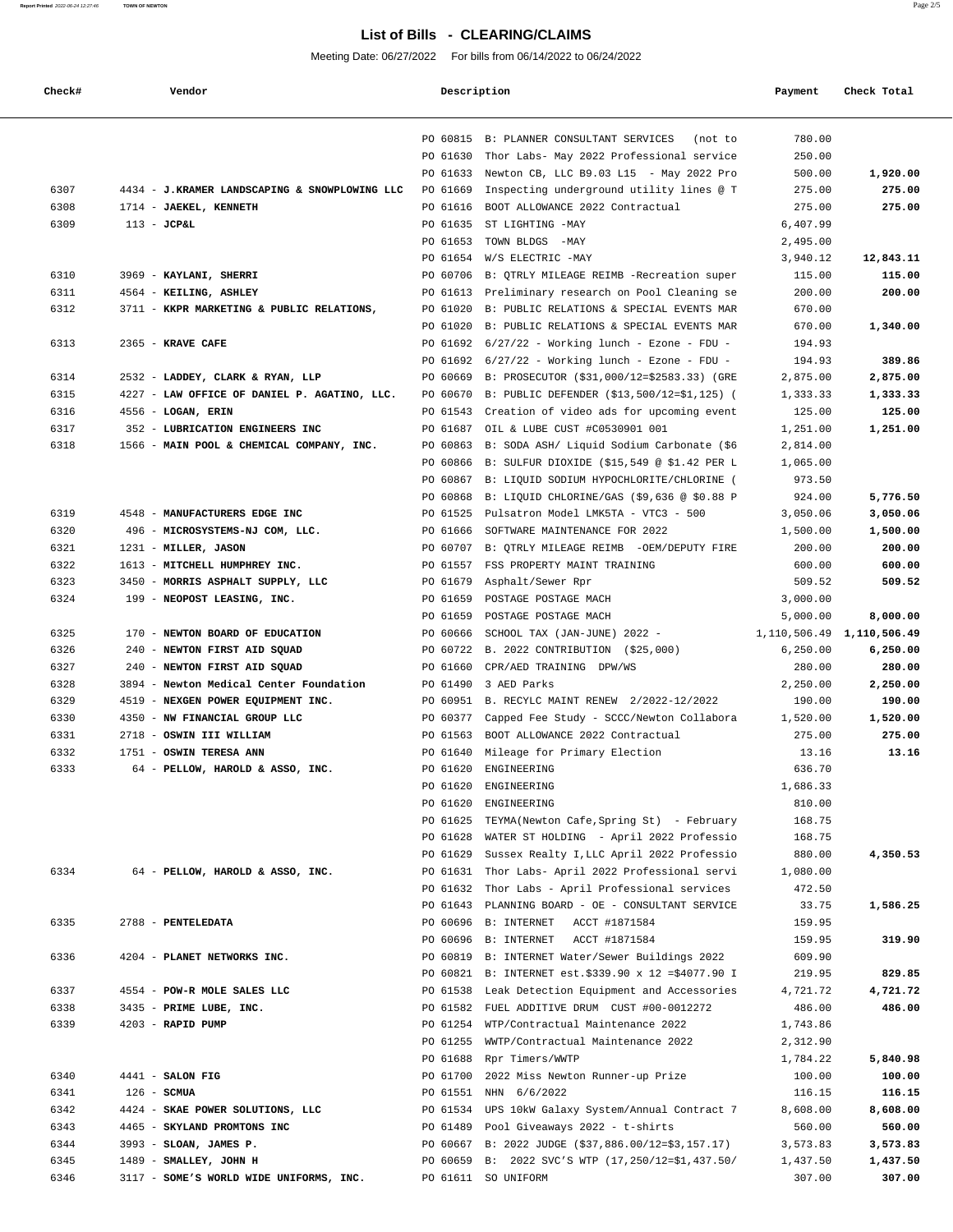# **List of Bills - CLEARING/CLAIMS**

Meeting Date: 06/27/2022 For bills from 06/14/2022 to 06/24/2022

| Check# | Vendor                                        | Description |                                                   | Payment   | Check Total                     |
|--------|-----------------------------------------------|-------------|---------------------------------------------------|-----------|---------------------------------|
|        |                                               | PO 60815    | B: PLANNER CONSULTANT SERVICES<br>(not to         | 780.00    |                                 |
|        |                                               | PO 61630    | Thor Labs- May 2022 Professional service          | 250.00    |                                 |
|        |                                               | PO 61633    | Newton CB, LLC B9.03 L15 - May 2022 Pro           | 500.00    | 1,920.00                        |
| 6307   | 4434 - J.KRAMER LANDSCAPING & SNOWPLOWING LLC | PO 61669    | Inspecting underground utility lines @ T          | 275.00    | 275.00                          |
| 6308   | 1714 - JAEKEL, KENNETH                        | PO 61616    | BOOT ALLOWANCE 2022 Contractual                   | 275.00    | 275.00                          |
| 6309   | $113 - JCPAL$                                 | PO 61635    | ST LIGHTING -MAY                                  | 6,407.99  |                                 |
|        |                                               | PO 61653    | TOWN BLDGS -MAY                                   | 2,495.00  |                                 |
|        |                                               | PO 61654    | W/S ELECTRIC -MAY                                 | 3,940.12  | 12,843.11                       |
| 6310   | 3969 - KAYLANI, SHERRI                        | PO 60706    | B: OTRLY MILEAGE REIMB -Recreation super          | 115.00    | 115.00                          |
| 6311   | 4564 - KEILING, ASHLEY                        | PO 61613    | Preliminary research on Pool Cleaning se          | 200.00    | 200.00                          |
| 6312   | 3711 - KKPR MARKETING & PUBLIC RELATIONS,     | PO 61020    | B: PUBLIC RELATIONS & SPECIAL EVENTS MAR          | 670.00    |                                 |
|        |                                               | PO 61020    | B: PUBLIC RELATIONS & SPECIAL EVENTS MAR          | 670.00    | 1,340.00                        |
| 6313   | 2365 - KRAVE CAFE                             | PO 61692    | $6/27/22$ - Working lunch - Ezone - FDU -         | 194.93    |                                 |
|        |                                               | PO 61692    | $6/27/22$ - Working lunch - Ezone - FDU -         | 194.93    | 389.86                          |
| 6314   | 2532 - LADDEY, CLARK & RYAN, LLP              | PO 60669    | B: PROSECUTOR (\$31,000/12=\$2583.33) (GRE        | 2,875.00  | 2,875.00                        |
| 6315   | 4227 - LAW OFFICE OF DANIEL P. AGATINO, LLC.  | PO 60670    | B: PUBLIC DEFENDER (\$13,500/12=\$1,125) (        | 1,333.33  | 1,333.33                        |
| 6316   | 4556 - LOGAN, ERIN                            | PO 61543    | Creation of video ads for upcoming event          | 125.00    | 125.00                          |
| 6317   | 352 - LUBRICATION ENGINEERS INC               | PO 61687    | OIL & LUBE CUST #C0530901 001                     | 1,251.00  | 1,251.00                        |
| 6318   | 1566 - MAIN POOL & CHEMICAL COMPANY, INC.     | PO 60863    | B: SODA ASH/ Liquid Sodium Carbonate (\$6         | 2,814.00  |                                 |
|        |                                               | PO 60866    | B: SULFUR DIOXIDE (\$15,549 @ \$1.42 PER L        | 1,065.00  |                                 |
|        |                                               | PO 60867    | B: LIQUID SODIUM HYPOCHLORITE/CHLORINE (          | 973.50    |                                 |
|        |                                               | PO 60868    | B: LIQUID CHLORINE/GAS (\$9,636 @ \$0.88 P        | 924.00    | 5,776.50                        |
| 6319   | 4548 - MANUFACTURERS EDGE INC                 | PO 61525    | Pulsatron Model LMK5TA - VTC3 - 500               | 3,050.06  | 3,050.06                        |
| 6320   | 496 - MICROSYSTEMS-NJ COM, LLC.               | PO 61666    | SOFTWARE MAINTENANCE FOR 2022                     | 1,500.00  | 1,500.00                        |
| 6321   | 1231 - MILLER, JASON                          | PO 60707    | B: QTRLY MILEAGE REIMB -OEM/DEPUTY FIRE           | 200.00    | 200.00                          |
| 6322   | 1613 - MITCHELL HUMPHREY INC.                 | PO 61557    | FSS PROPERTY MAINT TRAINING                       | 600.00    | 600.00                          |
| 6323   | 3450 - MORRIS ASPHALT SUPPLY, LLC             | PO 61679    | Asphalt/Sewer Rpr                                 | 509.52    | 509.52                          |
| 6324   | 199 - NEOPOST LEASING, INC.                   | PO 61659    | POSTAGE POSTAGE MACH                              | 3,000.00  |                                 |
|        |                                               | PO 61659    | POSTAGE POSTAGE MACH                              | 5,000.00  | 8,000.00                        |
| 6325   | 170 - NEWTON BOARD OF EDUCATION               | PO 60666    | SCHOOL TAX (JAN-JUNE) 2022 -                      |           | 1, 110, 506. 49 1, 110, 506. 49 |
| 6326   | 240 - NEWTON FIRST AID SQUAD                  | PO 60722    | B. 2022 CONTRIBUTION (\$25,000)                   | 6, 250.00 | 6,250.00                        |
| 6327   | 240 - NEWTON FIRST AID SQUAD                  | PO 61660    | CPR/AED TRAINING DPW/WS                           | 280.00    | 280.00                          |
| 6328   | 3894 - Newton Medical Center Foundation       | PO 61490    | 3 AED Parks                                       | 2,250.00  | 2,250.00                        |
| 6329   | 4519 - NEXGEN POWER EQUIPMENT INC.            | PO 60951    | B. RECYLC MAINT RENEW 2/2022-12/2022              | 190.00    | 190.00                          |
| 6330   | 4350 - NW FINANCIAL GROUP LLC                 | PO 60377    | Capped Fee Study - SCCC/Newton Collabora          | 1,520.00  | 1,520.00                        |
| 6331   | 2718 - OSWIN III WILLIAM                      | PO 61563    | BOOT ALLOWANCE 2022 Contractual                   | 275.00    | 275.00                          |
| 6332   | 1751 - OSWIN TERESA ANN                       | PO 61640    | Mileage for Primary Election                      | 13.16     | 13.16                           |
| 6333   | 64 - PELLOW, HAROLD & ASSO, INC.              | PO 61620    | ENGINEERING                                       | 636.70    |                                 |
|        |                                               | PO 61620    | ENGINEERING                                       | 1,686.33  |                                 |
|        |                                               | PO 61620    | ENGINEERING                                       | 810.00    |                                 |
|        |                                               | PO 61625    | TEYMA (Newton Cafe, Spring St) - February         | 168.75    |                                 |
|        |                                               | PO 61628    | WATER ST HOLDING - April 2022 Professio           | 168.75    |                                 |
|        |                                               | PO 61629    | Sussex Realty I, LLC April 2022 Professio         | 880.00    | 4,350.53                        |
| 6334   | 64 - PELLOW, HAROLD & ASSO, INC.              |             | PO 61631 Thor Labs- April 2022 Professional servi | 1,080.00  |                                 |
|        |                                               |             | PO 61632 Thor Labs - April Professional services  | 472.50    |                                 |
|        |                                               |             | PO 61643 PLANNING BOARD - OE - CONSULTANT SERVICE | 33.75     | 1,586.25                        |
| 6335   | 2788 - PENTELEDATA                            | PO 60696    | <b>B: INTERNET</b><br>ACCT #1871584               | 159.95    |                                 |
|        |                                               | PO 60696    | <b>B: INTERNET</b><br>ACCT #1871584               | 159.95    | 319.90                          |
| 6336   | 4204 - PLANET NETWORKS INC.                   | PO 60819    | B: INTERNET Water/Sewer Buildings 2022            | 609.90    |                                 |
|        |                                               | PO 60821    | B: INTERNET est. \$339.90 x 12 = \$4077.90 I      | 219.95    | 829.85                          |
| 6337   | 4554 - POW-R MOLE SALES LLC                   | PO 61538    | Leak Detection Equipment and Accessories          | 4,721.72  | 4,721.72                        |
| 6338   | 3435 - PRIME LUBE, INC.                       | PO 61582    | FUEL ADDITIVE DRUM CUST #00-0012272               | 486.00    | 486.00                          |
| 6339   | 4203 - RAPID PUMP                             |             | PO 61254 WTP/Contractual Maintenance 2022         | 1,743.86  |                                 |
|        |                                               |             | PO 61255 WWTP/Contractual Maintenance 2022        | 2,312.90  |                                 |
|        |                                               |             | PO 61688 Rpr Timers/WWTP                          | 1,784.22  | 5,840.98                        |
| 6340   | 4441 - SALON FIG                              | PO 61700    | 2022 Miss Newton Runner-up Prize                  | 100.00    | 100.00                          |
| 6341   | $126$ - SCMUA                                 |             | PO 61551 NHN 6/6/2022                             | 116.15    | 116.15                          |
| 6342   | 4424 - SKAE POWER SOLUTIONS, LLC              | PO 61534    | UPS 10kW Galaxy System/Annual Contract 7          | 8,608.00  | 8,608.00                        |
| 6343   | 4465 - SKYLAND PROMTONS INC                   | PO 61489    | Pool Giveaways 2022 - t-shirts                    | 560.00    | 560.00                          |
| 6344   | 3993 - SLOAN, JAMES P.                        | PO 60667    | B: 2022 JUDGE (\$37,886.00/12=\$3,157.17)         | 3,573.83  | 3,573.83                        |
| 6345   | 1489 - SMALLEY, JOHN H                        | PO 60659    | B: 2022 SVC'S WTP (17,250/12=\$1,437.50/          | 1,437.50  | 1,437.50                        |
| 6346   | 3117 - SOME'S WORLD WIDE UNIFORMS, INC.       |             | PO 61611 SO UNIFORM                               | 307.00    | 307.00                          |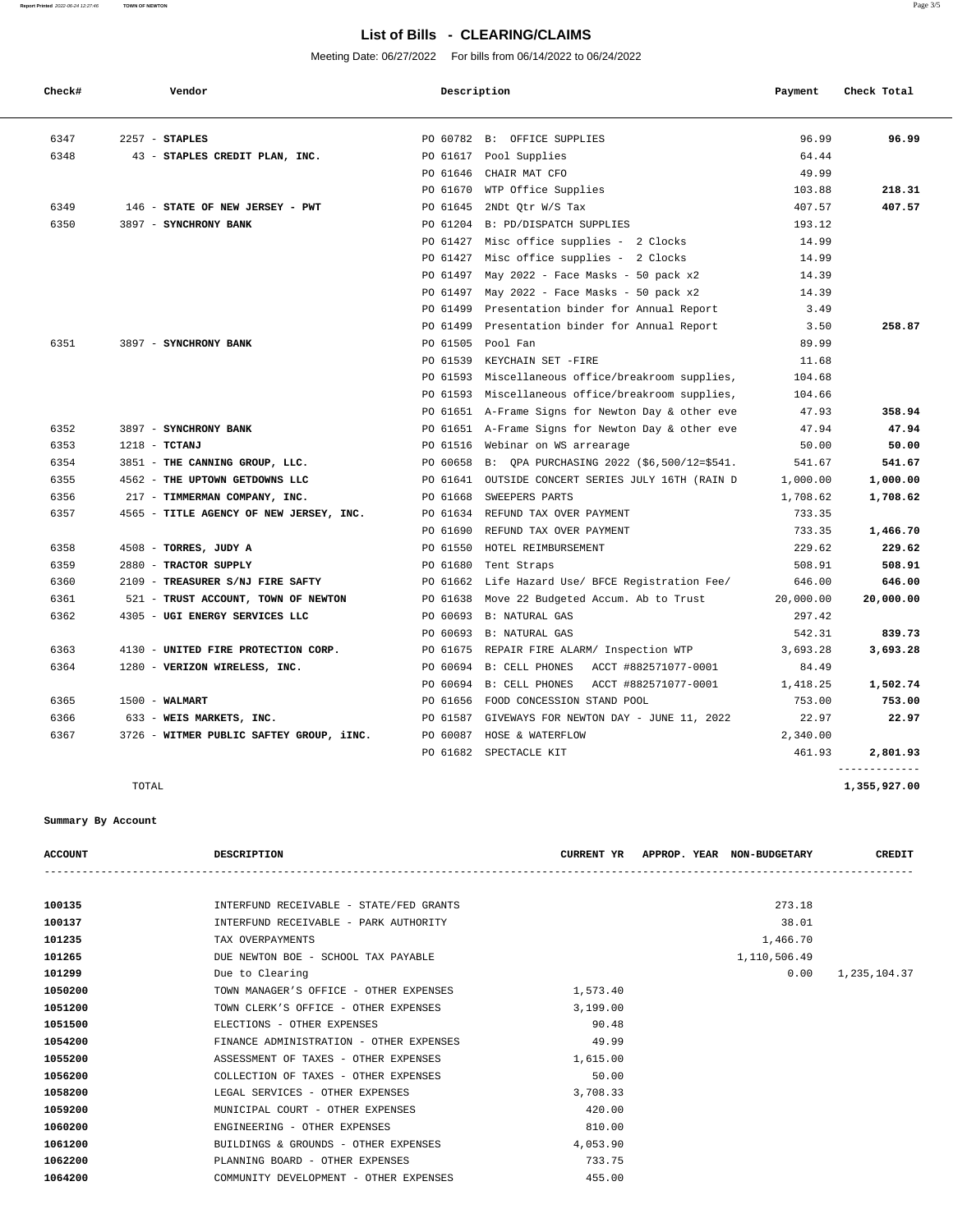#### **Report Printed** 2022-06-24 12:27:46 **TOWN OF NEWTON** Page 3/5

# **List of Bills - CLEARING/CLAIMS**

Meeting Date: 06/27/2022 For bills from 06/14/2022 to 06/24/2022

| Check# | Vendor                                   | Description |                                                   | Payment   | Check Total |
|--------|------------------------------------------|-------------|---------------------------------------------------|-----------|-------------|
| 6347   | $2257 - STAPLES$                         |             | PO 60782 B: OFFICE SUPPLIES                       | 96.99     | 96.99       |
| 6348   | 43 - STAPLES CREDIT PLAN, INC.           |             | PO 61617 Pool Supplies                            | 64.44     |             |
|        |                                          | PO 61646    | CHAIR MAT CFO                                     | 49.99     |             |
|        |                                          | PO 61670    | WTP Office Supplies                               | 103.88    | 218.31      |
| 6349   | 146 - STATE OF NEW JERSEY - PWT          | PO 61645    | 2NDt Otr W/S Tax                                  | 407.57    | 407.57      |
| 6350   | 3897 - SYNCHRONY BANK                    |             | PO 61204 B: PD/DISPATCH SUPPLIES                  | 193.12    |             |
|        |                                          |             | PO 61427 Misc office supplies - 2 Clocks          | 14.99     |             |
|        |                                          | PO 61427    | Misc office supplies - 2 Clocks                   | 14.99     |             |
|        |                                          | PO 61497    | May 2022 - Face Masks - 50 pack x2                | 14.39     |             |
|        |                                          | PO 61497    | May 2022 - Face Masks - 50 pack x2                | 14.39     |             |
|        |                                          |             | PO 61499 Presentation binder for Annual Report    | 3.49      |             |
|        |                                          | PO 61499    | Presentation binder for Annual Report             | 3.50      | 258.87      |
| 6351   | 3897 - SYNCHRONY BANK                    |             | PO 61505 Pool Fan                                 | 89.99     |             |
|        |                                          |             | PO 61539 KEYCHAIN SET -FIRE                       | 11.68     |             |
|        |                                          |             | PO 61593 Miscellaneous office/breakroom supplies, | 104.68    |             |
|        |                                          |             | PO 61593 Miscellaneous office/breakroom supplies, | 104.66    |             |
|        |                                          |             | PO 61651 A-Frame Signs for Newton Day & other eve | 47.93     | 358.94      |
| 6352   | 3897 - SYNCHRONY BANK                    |             | PO 61651 A-Frame Signs for Newton Day & other eve | 47.94     | 47.94       |
| 6353   | $1218$ - TCTANJ                          |             | PO 61516 Webinar on WS arrearage                  | 50.00     | 50.00       |
| 6354   | 3851 - THE CANNING GROUP, LLC.           | PO 60658    | B: QPA PURCHASING 2022 (\$6,500/12=\$541.         | 541.67    | 541.67      |
| 6355   | 4562 - THE UPTOWN GETDOWNS LLC           |             | PO 61641 OUTSIDE CONCERT SERIES JULY 16TH (RAIN D | 1,000.00  | 1,000.00    |
| 6356   | 217 - TIMMERMAN COMPANY, INC.            | PO 61668    | SWEEPERS PARTS                                    | 1,708.62  | 1,708.62    |
| 6357   | 4565 - TITLE AGENCY OF NEW JERSEY, INC.  | PO 61634    | REFUND TAX OVER PAYMENT                           | 733.35    |             |
|        |                                          | PO 61690    | REFUND TAX OVER PAYMENT                           | 733.35    | 1,466.70    |
| 6358   | 4508 - TORRES, JUDY A                    | PO 61550    | HOTEL REIMBURSEMENT                               | 229.62    | 229.62      |
| 6359   | 2880 - TRACTOR SUPPLY                    | PO 61680    | Tent Straps                                       | 508.91    | 508.91      |
| 6360   | 2109 - TREASURER S/NJ FIRE SAFTY         |             | PO 61662 Life Hazard Use/ BFCE Registration Fee/  | 646.00    | 646.00      |
| 6361   | 521 - TRUST ACCOUNT, TOWN OF NEWTON      | PO 61638    | Move 22 Budgeted Accum. Ab to Trust               | 20,000.00 | 20,000.00   |
| 6362   | 4305 - UGI ENERGY SERVICES LLC           | PO 60693    | B: NATURAL GAS                                    | 297.42    |             |
|        |                                          |             | PO 60693 B: NATURAL GAS                           | 542.31    | 839.73      |
| 6363   | 4130 - UNITED FIRE PROTECTION CORP.      | PO 61675    | REPAIR FIRE ALARM/ Inspection WTP                 | 3,693.28  | 3,693.28    |
| 6364   | 1280 - VERIZON WIRELESS, INC.            |             | PO 60694 B: CELL PHONES<br>ACCT #882571077-0001   | 84.49     |             |
|        |                                          |             | PO 60694 B: CELL PHONES<br>ACCT #882571077-0001   | 1,418.25  | 1,502.74    |
| 6365   | $1500 - WALMART$                         |             | PO 61656 FOOD CONCESSION STAND POOL               | 753.00    | 753.00      |
| 6366   | 633 - WEIS MARKETS, INC.                 | PO 61587    | GIVEWAYS FOR NEWTON DAY - JUNE 11, 2022           | 22.97     | 22.97       |
| 6367   | 3726 - WITMER PUBLIC SAFTEY GROUP, iINC. |             | PO 60087 HOSE & WATERFLOW                         | 2,340.00  |             |
|        |                                          |             | PO 61682 SPECTACLE KIT                            | 461.93    | 2,801.93    |

### **Summary By Account**

| <b>ACCOUNT</b> | DESCRIPTION                             | <b>CURRENT YR</b> | APPROP. YEAR NON-BUDGETARY | CREDIT       |
|----------------|-----------------------------------------|-------------------|----------------------------|--------------|
|                |                                         |                   |                            |              |
| 100135         | INTERFUND RECEIVABLE - STATE/FED GRANTS |                   | 273.18                     |              |
| 100137         | INTERFUND RECEIVABLE - PARK AUTHORITY   |                   | 38.01                      |              |
| 101235         | TAX OVERPAYMENTS                        |                   | 1,466.70                   |              |
| 101265         | DUE NEWTON BOE - SCHOOL TAX PAYABLE     |                   | 1,110,506.49               |              |
| 101299         | Due to Clearing                         |                   | 0.00                       | 1,235,104.37 |
| 1050200        | TOWN MANAGER'S OFFICE - OTHER EXPENSES  | 1,573.40          |                            |              |
| 1051200        | TOWN CLERK'S OFFICE - OTHER EXPENSES    | 3,199.00          |                            |              |
| 1051500        | ELECTIONS - OTHER EXPENSES              | 90.48             |                            |              |
| 1054200        | FINANCE ADMINISTRATION - OTHER EXPENSES | 49.99             |                            |              |
| 1055200        | ASSESSMENT OF TAXES - OTHER EXPENSES    | 1,615.00          |                            |              |
| 1056200        | COLLECTION OF TAXES - OTHER EXPENSES    | 50.00             |                            |              |
| 1058200        | LEGAL SERVICES - OTHER EXPENSES         | 3,708.33          |                            |              |
| 1059200        | MUNICIPAL COURT - OTHER EXPENSES        | 420.00            |                            |              |
| 1060200        | ENGINEERING - OTHER EXPENSES            | 810.00            |                            |              |
| 1061200        | BUILDINGS & GROUNDS - OTHER EXPENSES    | 4,053.90          |                            |              |
| 1062200        | PLANNING BOARD - OTHER EXPENSES         | 733.75            |                            |              |
| 1064200        | COMMUNITY DEVELOPMENT - OTHER EXPENSES  | 455.00            |                            |              |
|                |                                         |                   |                            |              |

-------------

TOTAL **1,355,927.00**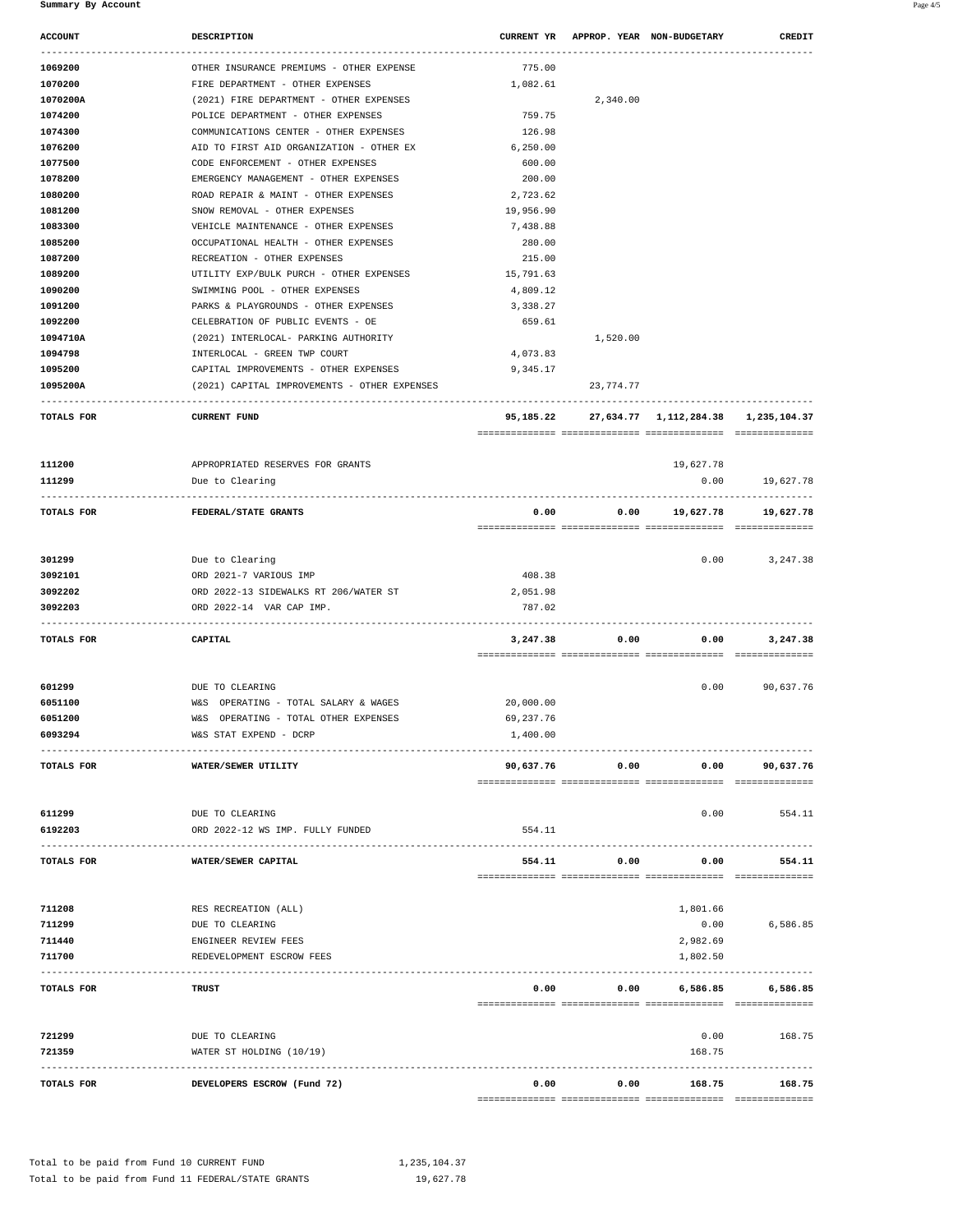| 1070200                              | OTHER INSURANCE PREMIUMS - OTHER EXPENSE                              | 775.00                |           |                                                                                  |                                                     |
|--------------------------------------|-----------------------------------------------------------------------|-----------------------|-----------|----------------------------------------------------------------------------------|-----------------------------------------------------|
|                                      | FIRE DEPARTMENT - OTHER EXPENSES                                      | 1,082.61              |           |                                                                                  |                                                     |
| 1070200A                             | (2021) FIRE DEPARTMENT - OTHER EXPENSES                               |                       | 2,340.00  |                                                                                  |                                                     |
| 1074200                              | POLICE DEPARTMENT - OTHER EXPENSES                                    | 759.75                |           |                                                                                  |                                                     |
| 1074300                              | COMMUNICATIONS CENTER - OTHER EXPENSES                                | 126.98                |           |                                                                                  |                                                     |
| 1076200                              | AID TO FIRST AID ORGANIZATION - OTHER EX                              | 6,250.00              |           |                                                                                  |                                                     |
| 1077500                              | CODE ENFORCEMENT - OTHER EXPENSES                                     | 600.00                |           |                                                                                  |                                                     |
| 1078200                              | EMERGENCY MANAGEMENT - OTHER EXPENSES                                 | 200.00                |           |                                                                                  |                                                     |
| 1080200<br>1081200                   | ROAD REPAIR & MAINT - OTHER EXPENSES<br>SNOW REMOVAL - OTHER EXPENSES | 2,723.62<br>19,956.90 |           |                                                                                  |                                                     |
| 1083300                              | VEHICLE MAINTENANCE - OTHER EXPENSES                                  | 7,438.88              |           |                                                                                  |                                                     |
| 1085200                              | OCCUPATIONAL HEALTH - OTHER EXPENSES                                  | 280.00                |           |                                                                                  |                                                     |
| 1087200                              | RECREATION - OTHER EXPENSES                                           | 215.00                |           |                                                                                  |                                                     |
| 1089200                              | UTILITY EXP/BULK PURCH - OTHER EXPENSES                               | 15,791.63             |           |                                                                                  |                                                     |
| 1090200                              | SWIMMING POOL - OTHER EXPENSES                                        | 4,809.12              |           |                                                                                  |                                                     |
| 1091200                              | PARKS & PLAYGROUNDS - OTHER EXPENSES                                  | 3,338.27              |           |                                                                                  |                                                     |
| 1092200                              | CELEBRATION OF PUBLIC EVENTS - OE                                     | 659.61                |           |                                                                                  |                                                     |
| 1094710A                             | (2021) INTERLOCAL- PARKING AUTHORITY                                  |                       | 1,520.00  |                                                                                  |                                                     |
| 1094798                              | INTERLOCAL - GREEN TWP COURT                                          | 4,073.83              |           |                                                                                  |                                                     |
| 1095200                              | CAPITAL IMPROVEMENTS - OTHER EXPENSES                                 | 9,345.17              |           |                                                                                  |                                                     |
| 1095200A                             | (2021) CAPITAL IMPROVEMENTS - OTHER EXPENSES                          |                       | 23,774.77 |                                                                                  |                                                     |
| TOTALS FOR                           | <b>CURRENT FUND</b>                                                   |                       |           | -------------------------------<br>95,185.22 27,634.77 1,112,284.38 1,235,104.37 |                                                     |
|                                      |                                                                       |                       |           |                                                                                  |                                                     |
| 111200                               | APPROPRIATED RESERVES FOR GRANTS                                      |                       |           | 19,627.78                                                                        |                                                     |
| 111299                               | Due to Clearing                                                       |                       |           | 0.00                                                                             | 19,627.78                                           |
|                                      |                                                                       |                       |           |                                                                                  |                                                     |
| TOTALS FOR                           | FEDERAL/STATE GRANTS                                                  | 0.00                  | 0.00      |                                                                                  | 19,627.78 19,627.78                                 |
| 301299                               | Due to Clearing                                                       |                       |           | 0.00                                                                             | 3,247.38                                            |
| 3092101                              | ORD 2021-7 VARIOUS IMP                                                | 408.38                |           |                                                                                  |                                                     |
| 3092202                              | ORD 2022-13 SIDEWALKS RT 206/WATER ST                                 | 2,051.98              |           |                                                                                  |                                                     |
| 3092203                              | ORD 2022-14 VAR CAP IMP.                                              | 787.02                |           |                                                                                  |                                                     |
| TOTALS FOR                           | CAPITAL                                                               | 3,247.38              | 0.00      | 0.00                                                                             | 3,247.38                                            |
|                                      |                                                                       |                       |           |                                                                                  |                                                     |
|                                      | DUE TO CLEARING                                                       |                       |           | 0.00                                                                             |                                                     |
| 601299                               |                                                                       |                       |           |                                                                                  | 90,637.76                                           |
| 6051100                              | W&S OPERATING - TOTAL SALARY & WAGES                                  | 20,000.00             |           |                                                                                  |                                                     |
|                                      | W&S OPERATING - TOTAL OTHER EXPENSES                                  | 69,237.76             |           |                                                                                  |                                                     |
|                                      | W&S STAT EXPEND - DCRP                                                | 1,400.00              |           |                                                                                  |                                                     |
|                                      | WATER/SEWER UTILITY                                                   | 90,637.76             | 0.00      | 0.00                                                                             | 90,637.76                                           |
| 6051200<br>6093294<br>TOTALS FOR     |                                                                       |                       |           |                                                                                  |                                                     |
|                                      | DUE TO CLEARING<br>ORD 2022-12 WS IMP. FULLY FUNDED                   | 554.11                |           | 0.00                                                                             | 554.11                                              |
|                                      | WATER/SEWER CAPITAL                                                   | 554.11                | 0.00      | 0.00                                                                             | 554.11                                              |
| 611299<br>6192203<br>TOTALS FOR      |                                                                       |                       |           |                                                                                  |                                                     |
|                                      | RES RECREATION (ALL)                                                  |                       |           | 1,801.66                                                                         |                                                     |
|                                      | DUE TO CLEARING                                                       |                       |           | 0.00                                                                             |                                                     |
|                                      | ENGINEER REVIEW FEES                                                  |                       |           | 2,982.69                                                                         |                                                     |
| 711208<br>711299<br>711440<br>711700 | REDEVELOPMENT ESCROW FEES                                             |                       |           | 1,802.50                                                                         |                                                     |
|                                      | <b>TRUST</b>                                                          | 0.00                  | 0.00      | 6,586.85                                                                         |                                                     |
| TOTALS FOR                           |                                                                       |                       |           |                                                                                  |                                                     |
| 721299<br>721359                     | DUE TO CLEARING<br>WATER ST HOLDING (10/19)                           |                       |           | 0.00<br>168.75                                                                   | 6,586.85<br>-----------------<br>6,586.85<br>168.75 |
|                                      |                                                                       |                       |           |                                                                                  |                                                     |

 **ACCOUNT DESCRIPTION CURRENT YR APPROP. YEAR NON-BUDGETARY CREDIT**